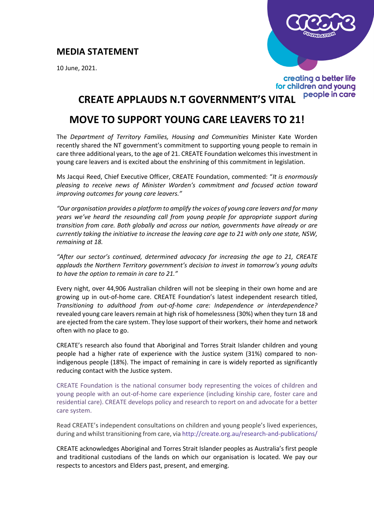## **MEDIA STATEMENT**

10 June, 2021.



## creating a better life for children and young people in care

## **CREATE APPLAUDS N.T GOVERNMENT'S VITAL**

## **MOVE TO SUPPORT YOUNG CARE LEAVERS TO 21!**

The *Department of Territory Families, Housing and Communities* Minister Kate Worden recently shared the NT government's commitment to supporting young people to remain in care three additional years, to the age of 21. CREATE Foundation welcomes this investment in young care leavers and is excited about the enshrining of this commitment in legislation.

Ms Jacqui Reed, Chief Executive Officer, CREATE Foundation, commented: "*It is enormously pleasing to receive news of Minister Worden's commitment and focused action toward improving outcomes for young care leavers."*

*"Our organisation provides a platform to amplify the voices of young care leavers and for many years we've heard the resounding call from young people for appropriate support during transition from care. Both globally and across our nation, governments have already or are currently taking the initiative to increase the leaving care age to 21 with only one state, NSW, remaining at 18.*

*"After our sector's continued, determined advocacy for increasing the age to 21, CREATE applauds the Northern Territory government's decision to invest in tomorrow's young adults to have the option to remain in care to 21."*

Every night, over 44,906 Australian children will not be sleeping in their own home and are growing up in out-of-home care. CREATE Foundation's latest independent research titled, *Transitioning to adulthood from out-of-home care: Independence or interdependence?*  revealed young care leavers remain at high risk of homelessness (30%) when they turn 18 and are ejected from the care system. They lose support of their workers, their home and network often with no place to go.

CREATE's research also found that Aboriginal and Torres Strait Islander children and young people had a higher rate of experience with the Justice system (31%) compared to nonindigenous people (18%). The impact of remaining in care is widely reported as significantly reducing contact with the Justice system.

CREATE Foundation is the national consumer body representing the voices of children and young people with an out-of-home care experience (including kinship care, foster care and residential care). CREATE develops policy and research to report on and advocate for a better care system.

Read CREATE's independent consultations on children and young people's lived experiences, during and whilst transitioning from care, via<http://create.org.au/research-and-publications/>

CREATE acknowledges Aboriginal and Torres Strait Islander peoples as Australia's first people and traditional custodians of the lands on which our organisation is located. We pay our respects to ancestors and Elders past, present, and emerging.